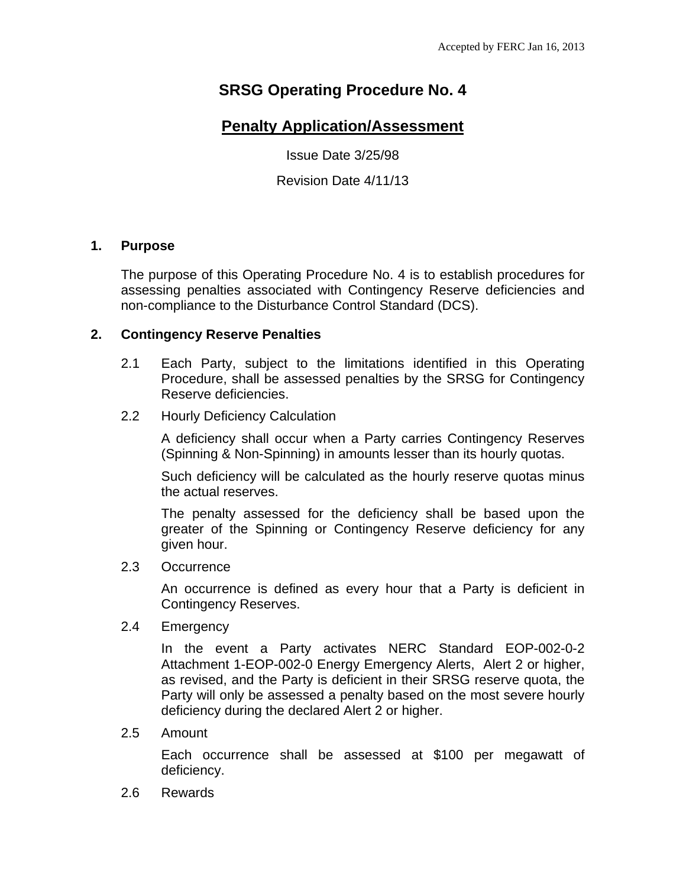# **SRSG Operating Procedure No. 4**

# **Penalty Application/Assessment**

Issue Date 3/25/98

Revision Date 4/11/13

### **1. Purpose**

The purpose of this Operating Procedure No. 4 is to establish procedures for assessing penalties associated with Contingency Reserve deficiencies and non-compliance to the Disturbance Control Standard (DCS).

### **2. Contingency Reserve Penalties**

- 2.1 Each Party, subject to the limitations identified in this Operating Procedure, shall be assessed penalties by the SRSG for Contingency Reserve deficiencies.
- 2.2 Hourly Deficiency Calculation

A deficiency shall occur when a Party carries Contingency Reserves (Spinning & Non-Spinning) in amounts lesser than its hourly quotas.

Such deficiency will be calculated as the hourly reserve quotas minus the actual reserves.

The penalty assessed for the deficiency shall be based upon the greater of the Spinning or Contingency Reserve deficiency for any given hour.

2.3 Occurrence

An occurrence is defined as every hour that a Party is deficient in Contingency Reserves.

2.4 Emergency

In the event a Party activates NERC Standard EOP-002-0-2 Attachment 1-EOP-002-0 Energy Emergency Alerts, Alert 2 or higher, as revised, and the Party is deficient in their SRSG reserve quota, the Party will only be assessed a penalty based on the most severe hourly deficiency during the declared Alert 2 or higher.

2.5 Amount

Each occurrence shall be assessed at \$100 per megawatt of deficiency.

2.6 Rewards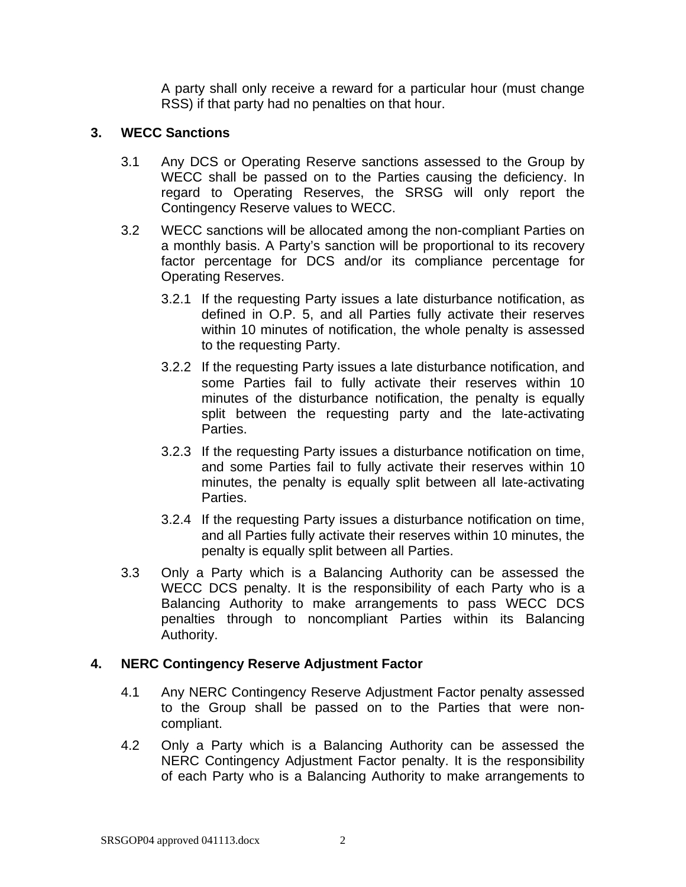A party shall only receive a reward for a particular hour (must change RSS) if that party had no penalties on that hour.

### **3. WECC Sanctions**

- 3.1 Any DCS or Operating Reserve sanctions assessed to the Group by WECC shall be passed on to the Parties causing the deficiency. In regard to Operating Reserves, the SRSG will only report the Contingency Reserve values to WECC.
- 3.2 WECC sanctions will be allocated among the non-compliant Parties on a monthly basis. A Party's sanction will be proportional to its recovery factor percentage for DCS and/or its compliance percentage for Operating Reserves.
	- 3.2.1 If the requesting Party issues a late disturbance notification, as defined in O.P. 5, and all Parties fully activate their reserves within 10 minutes of notification, the whole penalty is assessed to the requesting Party.
	- 3.2.2 If the requesting Party issues a late disturbance notification, and some Parties fail to fully activate their reserves within 10 minutes of the disturbance notification, the penalty is equally split between the requesting party and the late-activating Parties.
	- 3.2.3 If the requesting Party issues a disturbance notification on time, and some Parties fail to fully activate their reserves within 10 minutes, the penalty is equally split between all late-activating Parties.
	- 3.2.4 If the requesting Party issues a disturbance notification on time, and all Parties fully activate their reserves within 10 minutes, the penalty is equally split between all Parties.
- 3.3 Only a Party which is a Balancing Authority can be assessed the WECC DCS penalty. It is the responsibility of each Party who is a Balancing Authority to make arrangements to pass WECC DCS penalties through to noncompliant Parties within its Balancing Authority.

### **4. NERC Contingency Reserve Adjustment Factor**

- 4.1 Any NERC Contingency Reserve Adjustment Factor penalty assessed to the Group shall be passed on to the Parties that were noncompliant.
- 4.2 Only a Party which is a Balancing Authority can be assessed the NERC Contingency Adjustment Factor penalty. It is the responsibility of each Party who is a Balancing Authority to make arrangements to